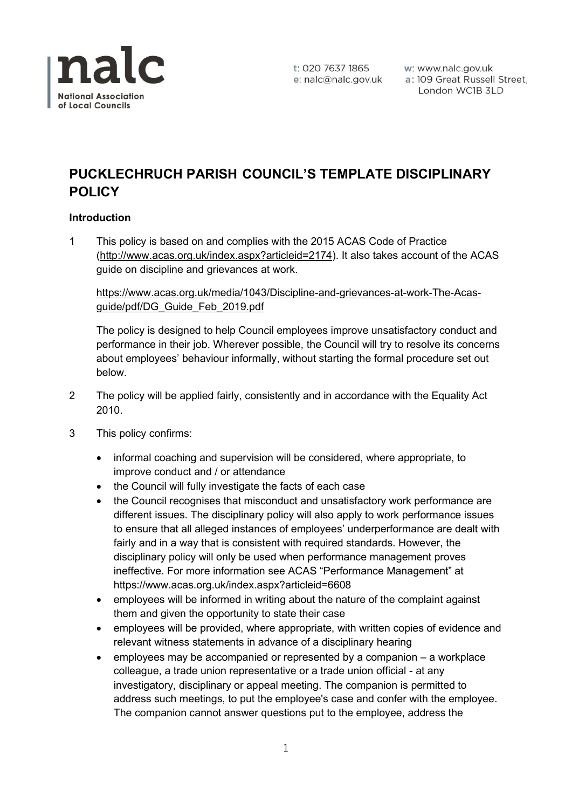

w: www.nalc.gov.uk a: 109 Great Russell Street, London WC1B 3LD

# **PUCKLECHRUCH PARISH COUNCIL'S TEMPLATE DISCIPLINARY POLICY**

## **Introduction**

1 This policy is based on and complies with the 2015 ACAS Code of Practice [\(http://www.acas.org.uk/index.aspx?articleid=2174\)](http://www.acas.org.uk/index.aspx?articleid=2174). It also takes account of the ACAS guide on discipline and grievances at work.

## [https://www.acas.org.uk/media/1043/Discipline-and-grievances-at-work-The-Acas](https://www.acas.org.uk/media/1043/Discipline-and-grievances-at-work-The-Acas-guide/pdf/DG_Guide_Feb_2019.pdf)[guide/pdf/DG\\_Guide\\_Feb\\_2019.pdf](https://www.acas.org.uk/media/1043/Discipline-and-grievances-at-work-The-Acas-guide/pdf/DG_Guide_Feb_2019.pdf)

The policy is designed to help Council employees improve unsatisfactory conduct and performance in their job. Wherever possible, the Council will try to resolve its concerns about employees' behaviour informally, without starting the formal procedure set out below.

- 2 The policy will be applied fairly, consistently and in accordance with the Equality Act 2010.
- 3 This policy confirms:
	- informal coaching and supervision will be considered, where appropriate, to improve conduct and / or attendance
	- the Council will fully investigate the facts of each case
	- the Council recognises that misconduct and unsatisfactory work performance are different issues. The disciplinary policy will also apply to work performance issues to ensure that all alleged instances of employees' underperformance are dealt with fairly and in a way that is consistent with required standards. However, the disciplinary policy will only be used when performance management proves ineffective. For more information see ACAS "Performance Management" at <https://www.acas.org.uk/index.aspx?articleid=6608>
	- employees will be informed in writing about the nature of the complaint against them and given the opportunity to state their case
	- employees will be provided, where appropriate, with written copies of evidence and relevant witness statements in advance of a disciplinary hearing
	- employees may be accompanied or represented by a companion a workplace colleague, a trade union representative or a trade union official - at any investigatory, disciplinary or appeal meeting. The companion is permitted to address such meetings, to put the employee's case and confer with the employee. The companion cannot answer questions put to the employee, address the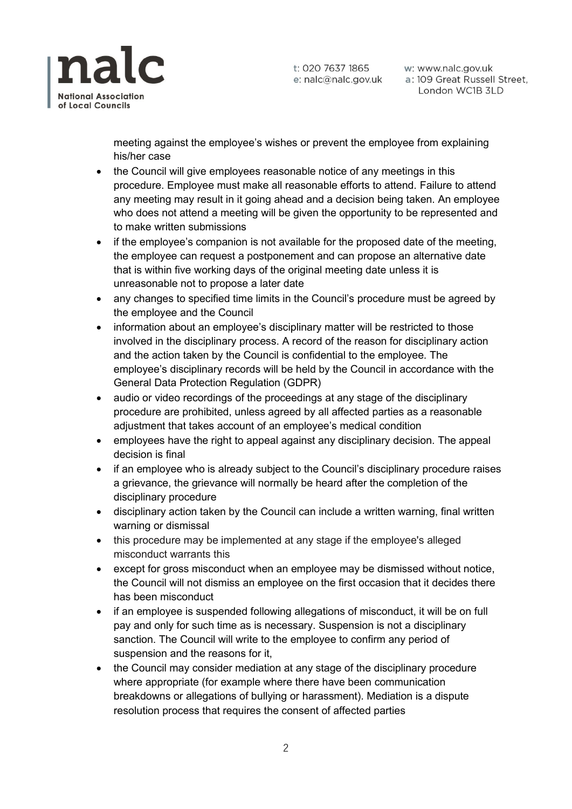

w: www.nalc.gov.uk w: www.nalc.gov.uk<br>a: 109 Great Russell Street,<br>longlen WG15 71 D London WC1B 3LD

meeting against the employee's wishes or prevent the employee from explaining his/her case

- the Council will give employees reasonable notice of any meetings in this procedure. Employee must make all reasonable efforts to attend. Failure to attend any meeting may result in it going ahead and a decision being taken. An employee who does not attend a meeting will be given the opportunity to be represented and to make written submissions
- if the employee's companion is not available for the proposed date of the meeting, the employee can request a postponement and can propose an alternative date that is within five working days of the original meeting date unless it is unreasonable not to propose a later date
- any changes to specified time limits in the Council's procedure must be agreed by the employee and the Council
- information about an employee's disciplinary matter will be restricted to those involved in the disciplinary process. A record of the reason for disciplinary action and the action taken by the Council is confidential to the employee. The employee's disciplinary records will be held by the Council in accordance with the General Data Protection Regulation (GDPR)
- audio or video recordings of the proceedings at any stage of the disciplinary procedure are prohibited, unless agreed by all affected parties as a reasonable adjustment that takes account of an employee's medical condition
- employees have the right to appeal against any disciplinary decision. The appeal decision is final
- if an employee who is already subject to the Council's disciplinary procedure raises a grievance, the grievance will normally be heard after the completion of the disciplinary procedure
- disciplinary action taken by the Council can include a written warning, final written warning or dismissal
- this procedure may be implemented at any stage if the employee's alleged misconduct warrants this
- except for gross misconduct when an employee may be dismissed without notice, the Council will not dismiss an employee on the first occasion that it decides there has been misconduct
- if an employee is suspended following allegations of misconduct, it will be on full pay and only for such time as is necessary. Suspension is not a disciplinary sanction. The Council will write to the employee to confirm any period of suspension and the reasons for it,
- the Council may consider mediation at any stage of the disciplinary procedure where appropriate (for example where there have been communication breakdowns or allegations of bullying or harassment). Mediation is a dispute resolution process that requires the consent of affected parties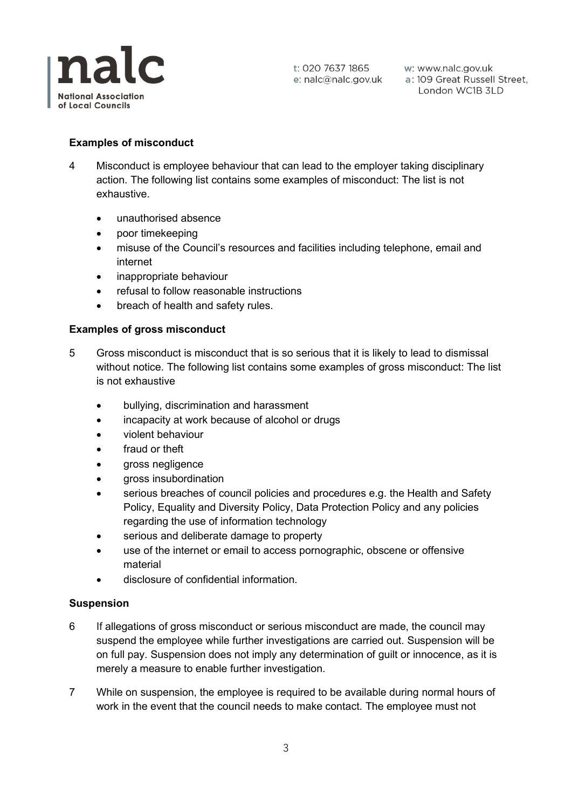

w: www.nalc.gov.uk London WC1B 3LD

## **Examples of misconduct**

- 4 Misconduct is employee behaviour that can lead to the employer taking disciplinary action. The following list contains some examples of misconduct: The list is not exhaustive.
	- unauthorised absence
	- poor timekeeping
	- misuse of the Council's resources and facilities including telephone, email and internet
	- inappropriate behaviour
	- refusal to follow reasonable instructions
	- breach of health and safety rules.

#### **Examples of gross misconduct**

- 5 Gross misconduct is misconduct that is so serious that it is likely to lead to dismissal without notice. The following list contains some examples of gross misconduct: The list is not exhaustive
	- bullying, discrimination and harassment
	- incapacity at work because of alcohol or drugs
	- violent behaviour
	- fraud or theft
	- gross negligence
	- gross insubordination
	- serious breaches of council policies and procedures e.g. the Health and Safety Policy, Equality and Diversity Policy, Data Protection Policy and any policies regarding the use of information technology
	- serious and deliberate damage to property
	- use of the internet or email to access pornographic, obscene or offensive material
	- disclosure of confidential information.

#### **Suspension**

- 6 If allegations of gross misconduct or serious misconduct are made, the council may suspend the employee while further investigations are carried out. Suspension will be on full pay. Suspension does not imply any determination of guilt or innocence, as it is merely a measure to enable further investigation.
- 7 While on suspension, the employee is required to be available during normal hours of work in the event that the council needs to make contact. The employee must not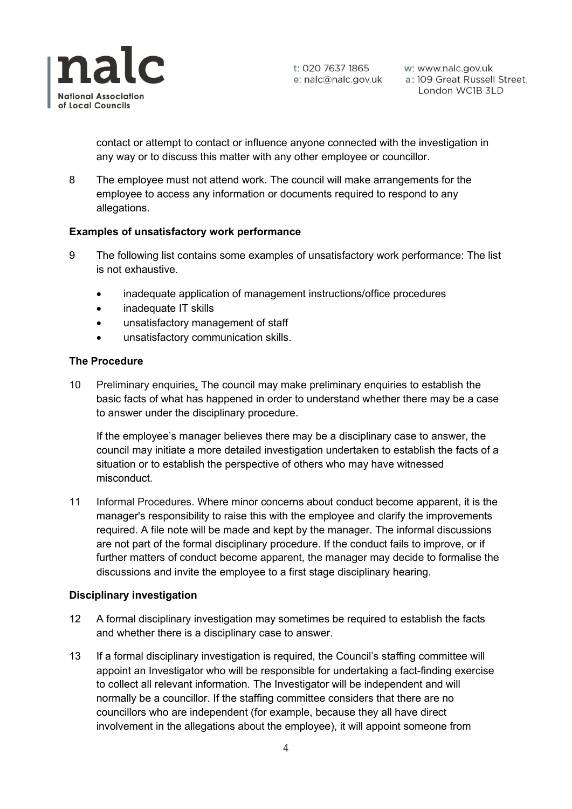

w: www.nalc.gov.uk London WC1B 3LD

contact or attempt to contact or influence anyone connected with the investigation in any way or to discuss this matter with any other employee or councillor.

8 The employee must not attend work. The council will make arrangements for the employee to access any information or documents required to respond to any allegations.

## **Examples of unsatisfactory work performance**

- 9 The following list contains some examples of unsatisfactory work performance: The list is not exhaustive.
	- inadequate application of management instructions/office procedures
	- inadequate IT skills
	- unsatisfactory management of staff
	- unsatisfactory communication skills.

#### **The Procedure**

10 Preliminary enquiries*.* The council may make preliminary enquiries to establish the basic facts of what has happened in order to understand whether there may be a case to answer under the disciplinary procedure.

If the employee's manager believes there may be a disciplinary case to answer, the council may initiate a more detailed investigation undertaken to establish the facts of a situation or to establish the perspective of others who may have witnessed misconduct.

11 Informal Procedures. Where minor concerns about conduct become apparent, it is the manager's responsibility to raise this with the employee and clarify the improvements required. A file note will be made and kept by the manager. The informal discussions are not part of the formal disciplinary procedure. If the conduct fails to improve, or if further matters of conduct become apparent, the manager may decide to formalise the discussions and invite the employee to a first stage disciplinary hearing.

#### **Disciplinary investigation**

- 12 A formal disciplinary investigation may sometimes be required to establish the facts and whether there is a disciplinary case to answer.
- 13 If a formal disciplinary investigation is required, the Council's staffing committee will appoint an Investigator who will be responsible for undertaking a fact-finding exercise to collect all relevant information. The Investigator will be independent and will normally be a councillor. If the staffing committee considers that there are no councillors who are independent (for example, because they all have direct involvement in the allegations about the employee), it will appoint someone from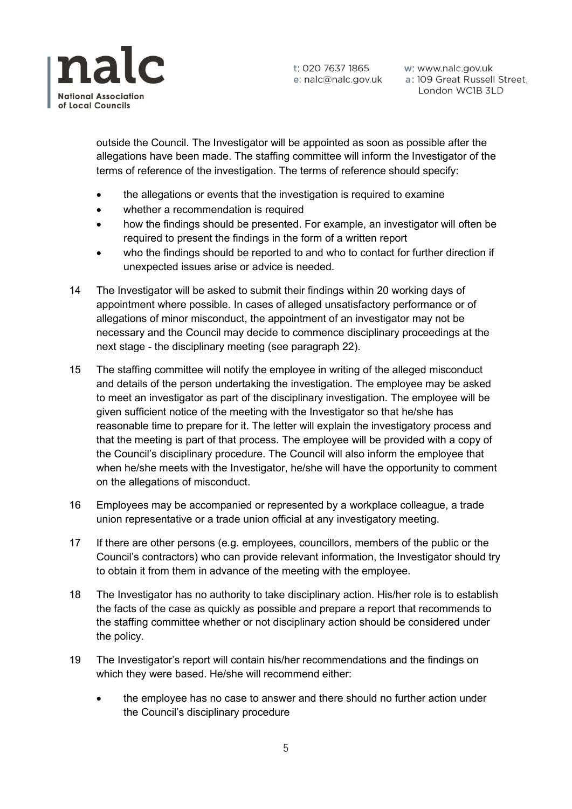

t: 020 7637 1865 w: www.nalc.gov.uk<br>e: nalc@nalc.gov.uk a: 109 Great Russell Street, London WC1B 3LD

outside the Council. The Investigator will be appointed as soon as possible after the allegations have been made. The staffing committee will inform the Investigator of the terms of reference of the investigation. The terms of reference should specify:

- the allegations or events that the investigation is required to examine
- whether a recommendation is required
- how the findings should be presented. For example, an investigator will often be required to present the findings in the form of a written report
- who the findings should be reported to and who to contact for further direction if unexpected issues arise or advice is needed.
- 14 The Investigator will be asked to submit their findings within 20 working days of appointment where possible. In cases of alleged unsatisfactory performance or of allegations of minor misconduct, the appointment of an investigator may not be necessary and the Council may decide to commence disciplinary proceedings at the next stage - the disciplinary meeting (see paragraph 22).
- 15 The staffing committee will notify the employee in writing of the alleged misconduct and details of the person undertaking the investigation. The employee may be asked to meet an investigator as part of the disciplinary investigation. The employee will be given sufficient notice of the meeting with the Investigator so that he/she has reasonable time to prepare for it. The letter will explain the investigatory process and that the meeting is part of that process. The employee will be provided with a copy of the Council's disciplinary procedure. The Council will also inform the employee that when he/she meets with the Investigator, he/she will have the opportunity to comment on the allegations of misconduct.
- 16 Employees may be accompanied or represented by a workplace colleague, a trade union representative or a trade union official at any investigatory meeting.
- 17 If there are other persons (e.g. employees, councillors, members of the public or the Council's contractors) who can provide relevant information, the Investigator should try to obtain it from them in advance of the meeting with the employee.
- 18 The Investigator has no authority to take disciplinary action. His/her role is to establish the facts of the case as quickly as possible and prepare a report that recommends to the staffing committee whether or not disciplinary action should be considered under the policy.
- 19 The Investigator's report will contain his/her recommendations and the findings on which they were based. He/she will recommend either:
	- the employee has no case to answer and there should no further action under the Council's disciplinary procedure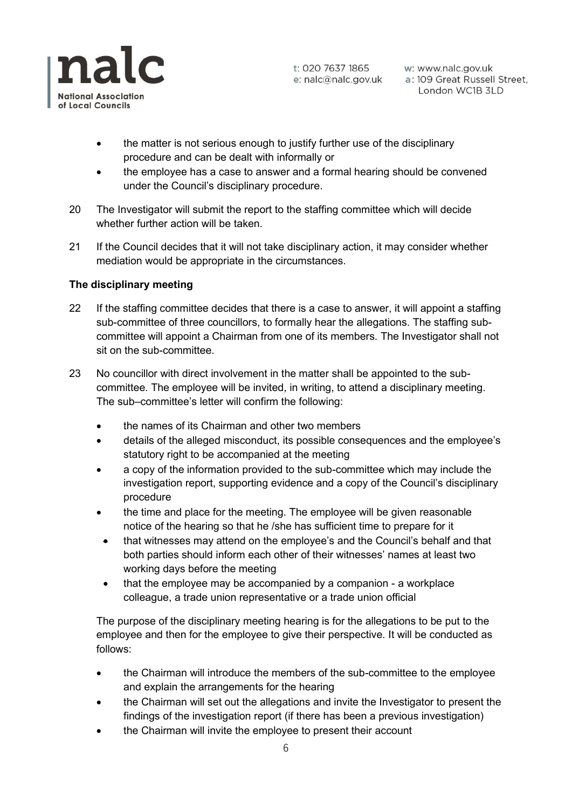

w: www.nalc.gov.uk London WC1B 3LD

- the matter is not serious enough to justify further use of the disciplinary procedure and can be dealt with informally or
- the employee has a case to answer and a formal hearing should be convened under the Council's disciplinary procedure.
- 20 The Investigator will submit the report to the staffing committee which will decide whether further action will be taken.
- 21 If the Council decides that it will not take disciplinary action, it may consider whether mediation would be appropriate in the circumstances.

## **The disciplinary meeting**

- 22 If the staffing committee decides that there is a case to answer, it will appoint a staffing sub-committee of three councillors, to formally hear the allegations. The staffing subcommittee will appoint a Chairman from one of its members. The Investigator shall not sit on the sub-committee.
- 23 No councillor with direct involvement in the matter shall be appointed to the subcommittee. The employee will be invited, in writing, to attend a disciplinary meeting. The sub–committee's letter will confirm the following:
	- the names of its Chairman and other two members
	- details of the alleged misconduct, its possible consequences and the employee's statutory right to be accompanied at the meeting
	- a copy of the information provided to the sub-committee which may include the investigation report, supporting evidence and a copy of the Council's disciplinary procedure
	- the time and place for the meeting. The employee will be given reasonable notice of the hearing so that he /she has sufficient time to prepare for it
	- that witnesses may attend on the employee's and the Council's behalf and that both parties should inform each other of their witnesses' names at least two working days before the meeting
	- that the employee may be accompanied by a companion a workplace colleague, a trade union representative or a trade union official

The purpose of the disciplinary meeting hearing is for the allegations to be put to the employee and then for the employee to give their perspective. It will be conducted as follows:

- the Chairman will introduce the members of the sub-committee to the employee and explain the arrangements for the hearing
- the Chairman will set out the allegations and invite the Investigator to present the findings of the investigation report (if there has been a previous investigation)
- the Chairman will invite the employee to present their account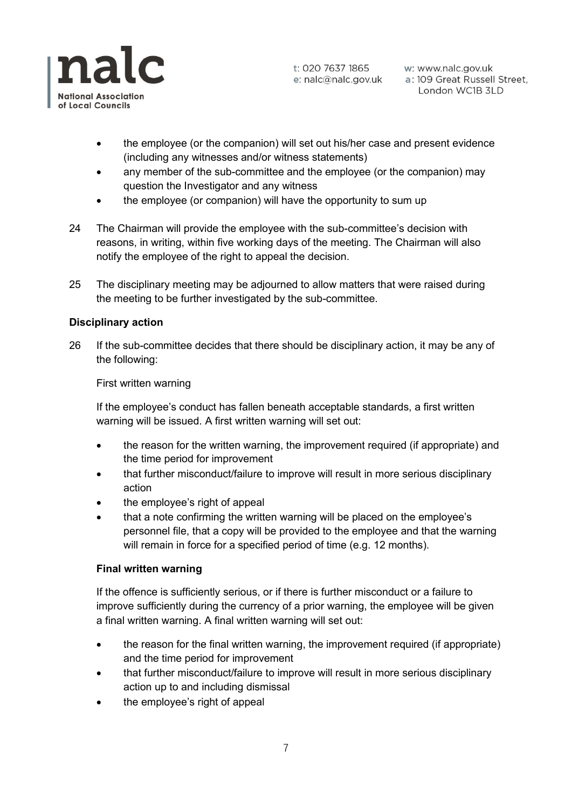

w: www.nalc.gov.uk a: 109 Great Russell Street, London WC1B 3LD

- the employee (or the companion) will set out his/her case and present evidence (including any witnesses and/or witness statements)
- any member of the sub-committee and the employee (or the companion) may question the Investigator and any witness
- the employee (or companion) will have the opportunity to sum up
- 24 The Chairman will provide the employee with the sub-committee's decision with reasons, in writing, within five working days of the meeting. The Chairman will also notify the employee of the right to appeal the decision.
- 25 The disciplinary meeting may be adjourned to allow matters that were raised during the meeting to be further investigated by the sub-committee.

## **Disciplinary action**

26 If the sub-committee decides that there should be disciplinary action, it may be any of the following:

First written warning

If the employee's conduct has fallen beneath acceptable standards, a first written warning will be issued. A first written warning will set out:

- the reason for the written warning, the improvement required (if appropriate) and the time period for improvement
- that further misconduct/failure to improve will result in more serious disciplinary action
- the employee's right of appeal
- that a note confirming the written warning will be placed on the employee's personnel file, that a copy will be provided to the employee and that the warning will remain in force for a specified period of time (e.g. 12 months).

## **Final written warning**

If the offence is sufficiently serious, or if there is further misconduct or a failure to improve sufficiently during the currency of a prior warning, the employee will be given a final written warning. A final written warning will set out:

- the reason for the final written warning, the improvement required (if appropriate) and the time period for improvement
- that further misconduct/failure to improve will result in more serious disciplinary action up to and including dismissal
- the employee's right of appeal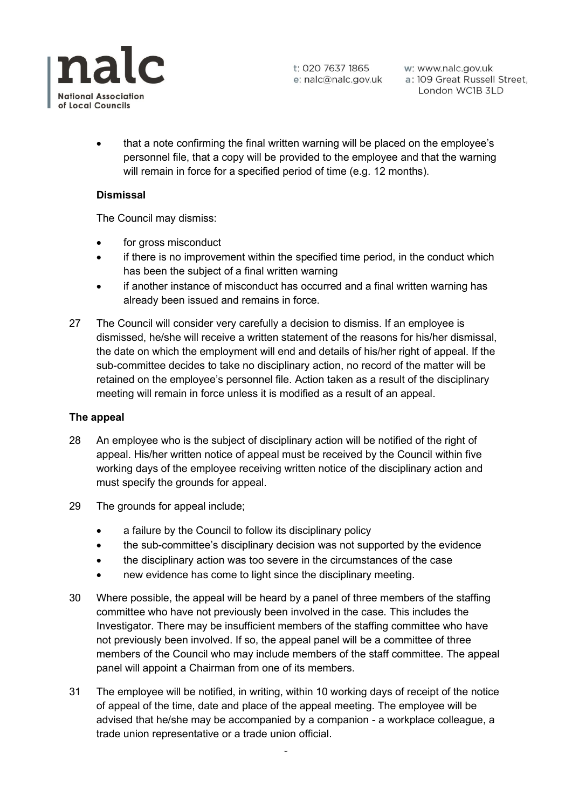

w: www.nalc.gov.uk a: 109 Great Russell Street, London WC1B 3LD

• that a note confirming the final written warning will be placed on the employee's personnel file, that a copy will be provided to the employee and that the warning will remain in force for a specified period of time (e.g. 12 months).

#### **Dismissal**

The Council may dismiss:

- for gross misconduct
- if there is no improvement within the specified time period, in the conduct which has been the subject of a final written warning
- if another instance of misconduct has occurred and a final written warning has already been issued and remains in force.
- 27 The Council will consider very carefully a decision to dismiss. If an employee is dismissed, he/she will receive a written statement of the reasons for his/her dismissal, the date on which the employment will end and details of his/her right of appeal. If the sub-committee decides to take no disciplinary action, no record of the matter will be retained on the employee's personnel file. Action taken as a result of the disciplinary meeting will remain in force unless it is modified as a result of an appeal.

#### **The appeal**

- 28 An employee who is the subject of disciplinary action will be notified of the right of appeal. His/her written notice of appeal must be received by the Council within five working days of the employee receiving written notice of the disciplinary action and must specify the grounds for appeal.
- 29 The grounds for appeal include;
	- a failure by the Council to follow its disciplinary policy
	- the sub-committee's disciplinary decision was not supported by the evidence
	- the disciplinary action was too severe in the circumstances of the case
	- new evidence has come to light since the disciplinary meeting.
- 30 Where possible, the appeal will be heard by a panel of three members of the staffing committee who have not previously been involved in the case. This includes the Investigator. There may be insufficient members of the staffing committee who have not previously been involved. If so, the appeal panel will be a committee of three members of the Council who may include members of the staff committee. The appeal panel will appoint a Chairman from one of its members.
- 31 The employee will be notified, in writing, within 10 working days of receipt of the notice of appeal of the time, date and place of the appeal meeting. The employee will be advised that he/she may be accompanied by a companion - a workplace colleague, a trade union representative or a trade union official.

 $\overline{a}$